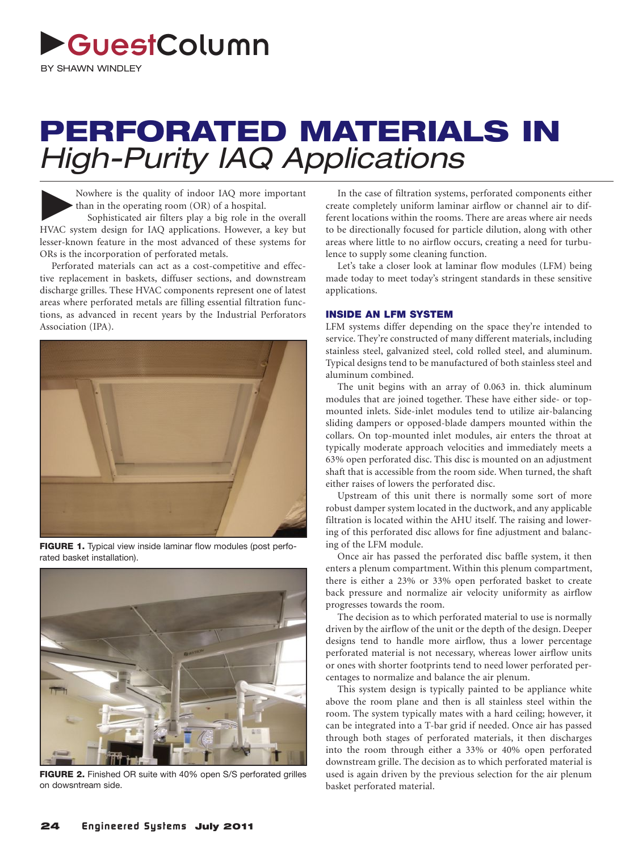# GuestColumn

**BY SHAWN WINDLEY** 

## **PERFORATED MATERIALS IN**  High-Purity IAQ Applications

Nowhere is the quality of indoor IAQ more important than in the operating room (OR) of a hospital.<br>Sophisticated air filters play a big role in the overall IWAC surface for IAQ emplications. However, a low but than in the operating room (OR) of a hospital. HVAC system design for IAQ applications. However, a key but lesser-known feature in the most advanced of these systems for ORs is the incorporation of perforated metals.

Perforated materials can act as a cost-competitive and effective replacement in baskets, diffuser sections, and downstream discharge grilles. These HVAC components represent one of latest areas where perforated metals are filling essential filtration functions, as advanced in recent years by the Industrial Perforators Association (IPA).



**FIGURE 1.** Typical view inside laminar flow modules (post perforated basket installation).



**FIGURE 2.** Finished OR suite with 40% open S/S perforated grilles on dowsntream side.

In the case of filtration systems, perforated components either create completely uniform laminar airflow or channel air to different locations within the rooms. There are areas where air needs to be directionally focused for particle dilution, along with other areas where little to no airflow occurs, creating a need for turbulence to supply some cleaning function.

Let's take a closer look at laminar flow modules (LFM) being made today to meet today's stringent standards in these sensitive applications.

#### **INSIDE AN LFM SYSTEM**

LFM systems differ depending on the space they're intended to service. They're constructed of many different materials, including stainless steel, galvanized steel, cold rolled steel, and aluminum. Typical designs tend to be manufactured of both stainless steel and aluminum combined.

The unit begins with an array of 0.063 in. thick aluminum modules that are joined together. These have either side- or topmounted inlets. Side-inlet modules tend to utilize air-balancing sliding dampers or opposed-blade dampers mounted within the collars. On top-mounted inlet modules, air enters the throat at typically moderate approach velocities and immediately meets a 63% open perforated disc. This disc is mounted on an adjustment shaft that is accessible from the room side. When turned, the shaft either raises of lowers the perforated disc.

Upstream of this unit there is normally some sort of more robust damper system located in the ductwork, and any applicable filtration is located within the AHU itself. The raising and lowering of this perforated disc allows for fine adjustment and balancing of the LFM module.

Once air has passed the perforated disc baffle system, it then enters a plenum compartment. Within this plenum compartment, there is either a 23% or 33% open perforated basket to create back pressure and normalize air velocity uniformity as airflow progresses towards the room.

The decision as to which perforated material to use is normally driven by the airflow of the unit or the depth of the design. Deeper designs tend to handle more airflow, thus a lower percentage perforated material is not necessary, whereas lower airflow units or ones with shorter footprints tend to need lower perforated percentages to normalize and balance the air plenum.

This system design is typically painted to be appliance white above the room plane and then is all stainless steel within the room. The system typically mates with a hard ceiling; however, it can be integrated into a T-bar grid if needed. Once air has passed through both stages of perforated materials, it then discharges into the room through either a 33% or 40% open perforated downstream grille. The decision as to which perforated material is used is again driven by the previous selection for the air plenum basket perforated material.